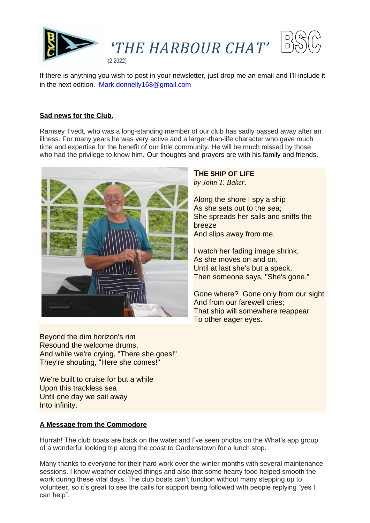



### **Sad news for the Club.**

Ramsey Tvedt, who was a long-standing member of our club has sadly passed away after an illness. For many years he was very active and a larger-than-life character who gave much time and expertise for the benefit of our little community. He will be much missed by those who had the privilege to know him. Our thoughts and prayers are with his family and friends.



# **THE SHIP OF LIFE**

*by John T. Baker.*

Along the shore I spy a ship As she sets out to the sea; She spreads her sails and sniffs the breeze And slips away from me.

I watch her fading image shrink, As she moves on and on, Until at last she's but a speck, Then someone says, "She's gone."

Gone where? Gone only from our sight And from our farewell cries; That ship will somewhere reappear To other eager eyes.

Beyond the dim horizon's rim Resound the welcome drums, And while we're crying, "There she goes!" They're shouting, "Here she comes!"

We're built to cruise for but a while Upon this trackless sea Until one day we sail away Into infinity.

# **A Message from the Commodore**

Hurrah! The club boats are back on the water and I've seen photos on the What's app group of a wonderful looking trip along the coast to Gardenstown for a lunch stop.

Many thanks to everyone for their hard work over the winter months with several maintenance sessions. I know weather delayed things and also that some hearty food helped smooth the work during these vital days. The club boats can't function without many stepping up to volunteer, so it's great to see the calls for support being followed with people replying "yes I can help".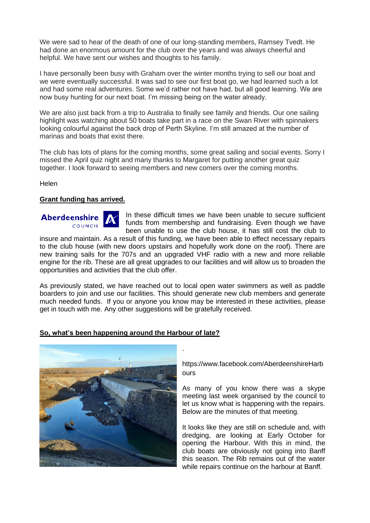We were sad to hear of the death of one of our long-standing members, Ramsey Tvedt. He had done an enormous amount for the club over the years and was always cheerful and helpful. We have sent our wishes and thoughts to his family.

I have personally been busy with Graham over the winter months trying to sell our boat and we were eventually successful. It was sad to see our first boat go, we had learned such a lot and had some real adventures. Some we'd rather not have had, but all good learning. We are now busy hunting for our next boat. I'm missing being on the water already.

We are also just back from a trip to Australia to finally see family and friends. Our one sailing highlight was watching about 50 boats take part in a race on the Swan River with spinnakers looking colourful against the back drop of Perth Skyline. I'm still amazed at the number of marinas and boats that exist there.

The club has lots of plans for the coming months, some great sailing and social events. Sorry I missed the April quiz night and many thanks to Margaret for putting another great quiz together. I look forward to seeing members and new comers over the coming months.

Helen

#### **Grant funding has arrived.**

Aberdeenshire COUNCIL



In these difficult times we have been unable to secure sufficient funds from membership and fundraising. Even though we have been unable to use the club house, it has still cost the club to

insure and maintain. As a result of this funding, we have been able to effect necessary repairs to the club house (with new doors upstairs and hopefully work done on the roof). There are new training sails for the 707s and an upgraded VHF radio with a new and more reliable engine for the rib. These are all great upgrades to our facilities and will allow us to broaden the opportunities and activities that the club offer.

As previously stated, we have reached out to local open water swimmers as well as paddle boarders to join and use our facilities. This should generate new club members and generate much needed funds. If you or anyone you know may be interested in these activities, please get in touch with me. Any other suggestions will be gratefully received.

.

### **So, what's been happening around the Harbour of late?**



https://www.facebook.com/AberdeenshireHarb ours

As many of you know there was a skype meeting last week organised by the council to let us know what is happening with the repairs. Below are the minutes of that meeting.

It looks like they are still on schedule and, with dredging, are looking at Early October for opening the Harbour. With this in mind, the club boats are obviously not going into Banff this season. The Rib remains out of the water while repairs continue on the harbour at Banff.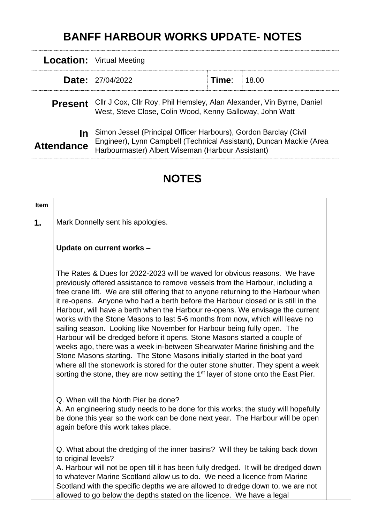# **BANFF HARBOUR WORKS UPDATE- NOTES**

|                         | <b>Location:</b> Virtual Meeting                                                                                                                                                             |       |       |  |  |
|-------------------------|----------------------------------------------------------------------------------------------------------------------------------------------------------------------------------------------|-------|-------|--|--|
| Date:                   | 27/04/2022                                                                                                                                                                                   | Time: | 18.00 |  |  |
| <b>Present</b>          | Cllr J Cox, Cllr Roy, Phil Hemsley, Alan Alexander, Vin Byrne, Daniel<br>West, Steve Close, Colin Wood, Kenny Galloway, John Watt                                                            |       |       |  |  |
| In<br><b>Attendance</b> | Simon Jessel (Principal Officer Harbours), Gordon Barclay (Civil<br>Engineer), Lynn Campbell (Technical Assistant), Duncan Mackie (Area<br>Harbourmaster) Albert Wiseman (Harbour Assistant) |       |       |  |  |

# **NOTES**

| <b>Item</b> |                                                                                                                                                                                                                                                                                                                                                                                                                                                                                                                                                                                                                                                                                                                                                                                                                                                                                                                                                                                                                  |  |
|-------------|------------------------------------------------------------------------------------------------------------------------------------------------------------------------------------------------------------------------------------------------------------------------------------------------------------------------------------------------------------------------------------------------------------------------------------------------------------------------------------------------------------------------------------------------------------------------------------------------------------------------------------------------------------------------------------------------------------------------------------------------------------------------------------------------------------------------------------------------------------------------------------------------------------------------------------------------------------------------------------------------------------------|--|
| 1.          | Mark Donnelly sent his apologies.                                                                                                                                                                                                                                                                                                                                                                                                                                                                                                                                                                                                                                                                                                                                                                                                                                                                                                                                                                                |  |
|             | Update on current works -                                                                                                                                                                                                                                                                                                                                                                                                                                                                                                                                                                                                                                                                                                                                                                                                                                                                                                                                                                                        |  |
|             | The Rates & Dues for 2022-2023 will be waved for obvious reasons. We have<br>previously offered assistance to remove vessels from the Harbour, including a<br>free crane lift. We are still offering that to anyone returning to the Harbour when<br>it re-opens. Anyone who had a berth before the Harbour closed or is still in the<br>Harbour, will have a berth when the Harbour re-opens. We envisage the current<br>works with the Stone Masons to last 5-6 months from now, which will leave no<br>sailing season. Looking like November for Harbour being fully open. The<br>Harbour will be dredged before it opens. Stone Masons started a couple of<br>weeks ago, there was a week in-between Shearwater Marine finishing and the<br>Stone Masons starting. The Stone Masons initially started in the boat yard<br>where all the stonework is stored for the outer stone shutter. They spent a week<br>sorting the stone, they are now setting the 1 <sup>st</sup> layer of stone onto the East Pier. |  |
|             | Q. When will the North Pier be done?<br>A. An engineering study needs to be done for this works; the study will hopefully<br>be done this year so the work can be done next year. The Harbour will be open<br>again before this work takes place.                                                                                                                                                                                                                                                                                                                                                                                                                                                                                                                                                                                                                                                                                                                                                                |  |
|             | Q. What about the dredging of the inner basins? Will they be taking back down<br>to original levels?<br>A. Harbour will not be open till it has been fully dredged. It will be dredged down<br>to whatever Marine Scotland allow us to do. We need a licence from Marine<br>Scotland with the specific depths we are allowed to dredge down to, we are not<br>allowed to go below the depths stated on the licence. We have a legal                                                                                                                                                                                                                                                                                                                                                                                                                                                                                                                                                                              |  |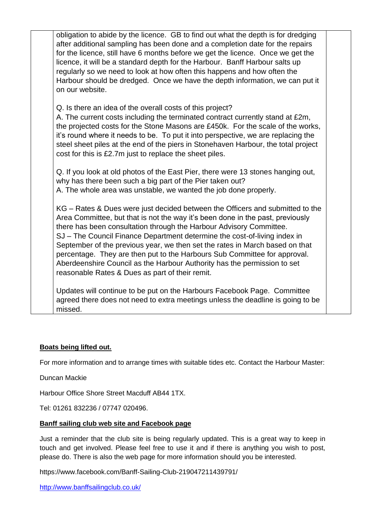| obligation to abide by the licence. GB to find out what the depth is for dredging<br>after additional sampling has been done and a completion date for the repairs<br>for the licence, still have 6 months before we get the licence. Once we get the<br>licence, it will be a standard depth for the Harbour. Banff Harbour salts up<br>regularly so we need to look at how often this happens and how often the<br>Harbour should be dredged. Once we have the depth information, we can put it<br>on our website.                                                                                            |  |
|-----------------------------------------------------------------------------------------------------------------------------------------------------------------------------------------------------------------------------------------------------------------------------------------------------------------------------------------------------------------------------------------------------------------------------------------------------------------------------------------------------------------------------------------------------------------------------------------------------------------|--|
| Q. Is there an idea of the overall costs of this project?<br>A. The current costs including the terminated contract currently stand at £2m,<br>the projected costs for the Stone Masons are £450k. For the scale of the works,<br>it's round where it needs to be. To put it into perspective, we are replacing the<br>steel sheet piles at the end of the piers in Stonehaven Harbour, the total project<br>cost for this is £2.7m just to replace the sheet piles.                                                                                                                                            |  |
| Q. If you look at old photos of the East Pier, there were 13 stones hanging out,<br>why has there been such a big part of the Pier taken out?<br>A. The whole area was unstable, we wanted the job done properly.                                                                                                                                                                                                                                                                                                                                                                                               |  |
| KG – Rates & Dues were just decided between the Officers and submitted to the<br>Area Committee, but that is not the way it's been done in the past, previously<br>there has been consultation through the Harbour Advisory Committee.<br>SJ – The Council Finance Department determine the cost-of-living index in<br>September of the previous year, we then set the rates in March based on that<br>percentage. They are then put to the Harbours Sub Committee for approval.<br>Aberdeenshire Council as the Harbour Authority has the permission to set<br>reasonable Rates & Dues as part of their remit. |  |
| Updates will continue to be put on the Harbours Facebook Page. Committee<br>agreed there does not need to extra meetings unless the deadline is going to be<br>missed.                                                                                                                                                                                                                                                                                                                                                                                                                                          |  |

# **Boats being lifted out.**

For more information and to arrange times with suitable tides etc. Contact the Harbour Master:

Duncan Mackie

Harbour Office Shore Street Macduff AB44 1TX.

Tel: 01261 832236 / 07747 020496.

# **Banff sailing club web site and Facebook page**

Just a reminder that the club site is being regularly updated. This is a great way to keep in touch and get involved. Please feel free to use it and if there is anything you wish to post, please do. There is also the web page for more information should you be interested.

https://www.facebook.com/Banff-Sailing-Club-219047211439791/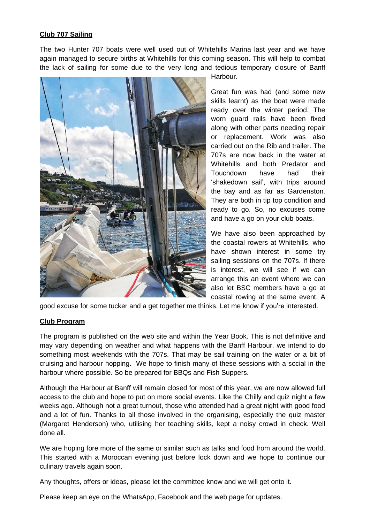# **Club 707 Sailing**

The two Hunter 707 boats were well used out of Whitehills Marina last year and we have again managed to secure births at Whitehills for this coming season. This will help to combat the lack of sailing for some due to the very long and tedious temporary closure of Banff



Harbour.

Great fun was had (and some new skills learnt) as the boat were made ready over the winter period. The worn guard rails have been fixed along with other parts needing repair or replacement. Work was also carried out on the Rib and trailer. The 707s are now back in the water at Whitehills and both Predator and Touchdown have had their 'shakedown sail', with trips around the bay and as far as Gardenston. They are both in tip top condition and ready to go. So, no excuses come and have a go on your club boats.

We have also been approached by the coastal rowers at Whitehills, who have shown interest in some try sailing sessions on the 707s. If there is interest, we will see if we can arrange this an event where we can also let BSC members have a go at coastal rowing at the same event. A

good excuse for some tucker and a get together me thinks. Let me know if you're interested.

### **Club Program**

The program is published on the web site and within the Year Book. This is not definitive and may vary depending on weather and what happens with the Banff Harbour. we intend to do something most weekends with the 707s. That may be sail training on the water or a bit of cruising and harbour hopping. We hope to finish many of these sessions with a social in the harbour where possible. So be prepared for BBQs and Fish Suppers.

Although the Harbour at Banff will remain closed for most of this year, we are now allowed full access to the club and hope to put on more social events. Like the Chilly and quiz night a few weeks ago. Although not a great turnout, those who attended had a great night with good food and a lot of fun. Thanks to all those involved in the organising, especially the quiz master (Margaret Henderson) who, utilising her teaching skills, kept a noisy crowd in check. Well done all.

We are hoping fore more of the same or similar such as talks and food from around the world. This started with a Moroccan evening just before lock down and we hope to continue our culinary travels again soon.

Any thoughts, offers or ideas, please let the committee know and we will get onto it.

Please keep an eye on the WhatsApp, Facebook and the web page for updates.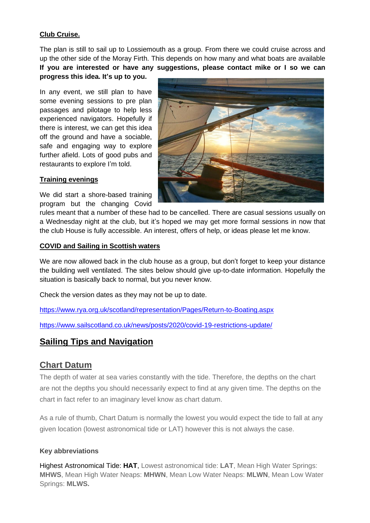# **Club Cruise.**

The plan is still to sail up to Lossiemouth as a group. From there we could cruise across and up the other side of the Moray Firth. This depends on how many and what boats are available **If you are interested or have any suggestions, please contact mike or I so we can progress this idea. It's up to you.**

In any event, we still plan to have some evening sessions to pre plan passages and pilotage to help less experienced navigators. Hopefully if there is interest, we can get this idea off the ground and have a sociable, safe and engaging way to explore further afield. Lots of good pubs and restaurants to explore I'm told.

## **Training evenings**

We did start a shore-based training program but the changing Covid



rules meant that a number of these had to be cancelled. There are casual sessions usually on a Wednesday night at the club, but it's hoped we may get more formal sessions in now that the club House is fully accessible. An interest, offers of help, or ideas please let me know.

### **COVID and Sailing in Scottish waters**

We are now allowed back in the club house as a group, but don't forget to keep your distance the building well ventilated. The sites below should give up-to-date information. Hopefully the situation is basically back to normal, but you never know.

Check the version dates as they may not be up to date.

https://www.rya.org.uk/scotland/representation/Pages/Return-to-Boating.aspx

https://www.sailscotland.co.uk/news/posts/2020/covid-19-restrictions-update/

# **Sailing Tips and Navigation**

# **Chart Datum**

The depth of water at sea varies constantly with the tide. Therefore, the depths on the chart are not the depths you should necessarily expect to find at any given time. The depths on the chart in fact refer to an imaginary level know as chart datum.

As a rule of thumb, Chart Datum is normally the lowest you would expect the tide to fall at any given location (lowest astronomical tide or LAT) however this is not always the case.

### **Key abbreviations**

Highest Astronomical Tide: **HAT**, Lowest astronomical tide: **LAT**, Mean High Water Springs: **MHWS**, Mean High Water Neaps: **MHWN**, Mean Low Water Neaps: **MLWN**, Mean Low Water Springs: **MLWS.**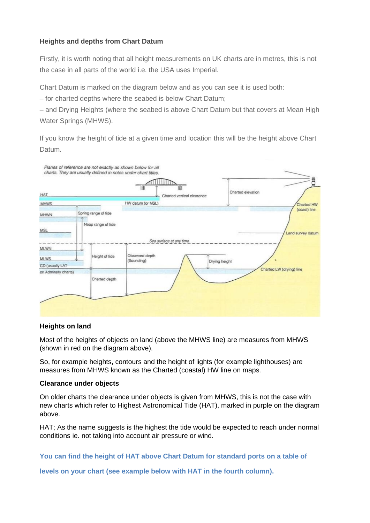# **Heights and depths from Chart Datum**

Firstly, it is worth noting that all height measurements on UK charts are in metres, this is not the case in all parts of the world i.e. the USA uses Imperial.

Chart Datum is marked on the diagram below and as you can see it is used both:

– for charted depths where the seabed is below Chart Datum;

– and Drying Heights (where the seabed is above Chart Datum but that covers at Mean High Water Springs (MHWS).

If you know the height of tide at a given time and location this will be the height above Chart Datum.



#### **Heights on land**

Most of the heights of objects on land (above the MHWS line) are measures from MHWS (shown in red on the diagram above).

So, for example heights, contours and the height of lights (for example lighthouses) are measures from MHWS known as the Charted (coastal) HW line on maps.

### **Clearance under objects**

On older charts the clearance under objects is given from MHWS, this is not the case with new charts which refer to Highest Astronomical Tide (HAT), marked in purple on the diagram above.

HAT; As the name suggests is the highest the tide would be expected to reach under normal conditions ie. not taking into account air pressure or wind.

**You can find the height of HAT above Chart Datum for standard ports on a table of**

**levels on your chart (see example below with HAT in the fourth column).**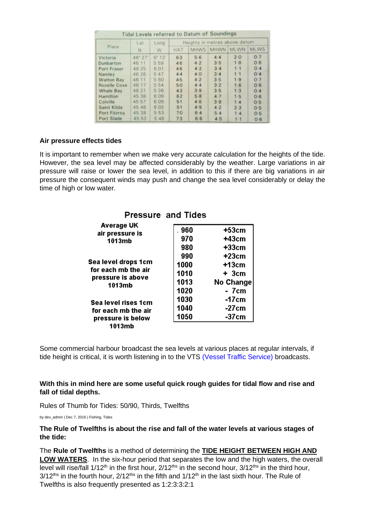|                   | Lat     | Long    |                | Heights in metres above datum |         |             |             |
|-------------------|---------|---------|----------------|-------------------------------|---------|-------------|-------------|
| Place             | N       | W.      | <b>HAT</b>     | <b>MHWS</b>                   | MHWN    | <b>MLWN</b> | <b>MLWS</b> |
| Victoria          | 46" 27" | $6*12'$ | 63             | 5.6                           | $4 - 4$ | 2.0         | 0.7         |
| Dunbarton         | 46 11   | 5 5 9   | 46             | 4.2                           | 3.5     | 1.8         | $0-8$       |
| Port Fraser       | 46 25   | 601     | 46             | $4 - 2$                       | 3.4     | $1 - 1$     | 0.4         |
| Namley            | 46 26   | 5 47    | 4.4            | $4-0$                         | 34      | $1 - 1$     | O.4         |
| <b>Walton Bay</b> | 46 11   | 5 50    | 45             | 4.2                           | $3 - 5$ | 1.9         | O.7         |
| Rozelle Cove      | 46 17   | 554     | 50             | $4 - 4$                       | $3 - 2$ | $1-6$       | $O-6$       |
| Whale Bay         | 46 21   | 5 3 6   | 4.2            | 3.9                           | 3.5     | 1.3         | 0.4         |
| Hamilton          | 45 38   | 6.09    | 62             | $5 - 8$                       | $4 - 7$ | $1 - 5$     | 0.6         |
| Colville          | 45 57   | 6.09    | 5 <sub>1</sub> | 4.8                           | 3.9     | $1 - 4$     | O.5         |
| Saint Kilda       | 45 48   | 6 0 3   | 51             | 4.9                           | 4.2     | $2-3$       | 0.5         |
| Port Fitzroy      | 45 38   | 5 5 3   | 70             | $6 - 4$                       | $5-4$   | $1 - 4$     | $0-5$       |
| Port Slade        | 45 53   | 5 4 8   | $7-3$          | 66                            | 4.5     | $1 - 1$     | 06          |

### **Air pressure effects tides**

It is important to remember when we make very accurate calculation for the heights of the tide. However, the sea level may be affected considerably by the weather. Large variations in air pressure will raise or lower the sea level, in addition to this if there are big variations in air pressure the consequent winds may push and change the sea level considerably or delay the time of high or low water.

| <b>Pressure and Tides</b>                                                 |       |           |
|---------------------------------------------------------------------------|-------|-----------|
| <b>Average UK</b>                                                         | - 960 | +53cm     |
| air pressure is<br>1013mb                                                 | 970   | +43cm     |
|                                                                           | 980   | +33cm     |
| Sea level drops 1cm<br>for each mb the air<br>pressure is above<br>1013mb | 990   | $+23cm$   |
|                                                                           | 1000  | $+13cm$   |
|                                                                           | 1010  | + 3cm     |
|                                                                           | 1013  | No Change |
|                                                                           | 1020  | - 7cm     |
| Sea level rises 1cm                                                       | 1030  | $-17cm$   |
| for each mb the air<br>pressure is below                                  | 1040  | -27cm     |
|                                                                           | 1050  | $-37cm$   |
| 1013mb                                                                    |       |           |

Some commercial harbour broadcast the sea levels at various places at regular intervals, if tide height is critical, it is worth listening in to the VTS (Vessel Traffic Service) broadcasts.

**With this in mind here are some useful quick rough guides for tidal flow and rise and fall of tidal depths.**

Rules of Thumb for Tides: 50/90, Thirds, Twelfths

by dev\_admin | Dec 7, 2016 | Fishing, Tides

**The Rule of Twelfths is about the rise and fall of the water levels at various stages of the tide:**

The **Rule of Twelfths** is a method of determining the **TIDE HEIGHT BETWEEN HIGH AND LOW WATERS**. In the six-hour period that separates the low and the high waters, the overall level will rise/fall 1/12th in the first hour, 2/12ths in the second hour, 3/12ths in the third hour,  $3/12$ <sup>ths</sup> in the fourth hour,  $2/12$ <sup>ths</sup> in the fifth and  $1/12$ <sup>th</sup> in the last sixth hour. The Rule of Twelfths is also frequently presented as 1:2:3:3:2:1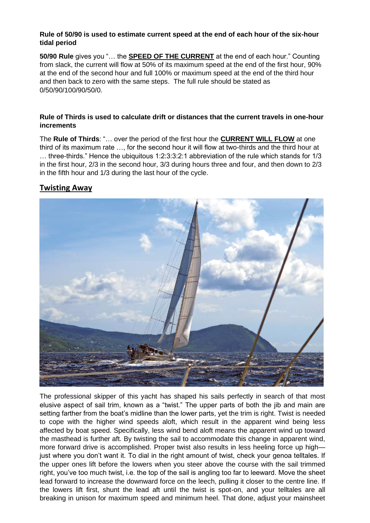## **Rule of 50/90 is used to estimate current speed at the end of each hour of the six-hour tidal period**

**50/90 Rule** gives you "… the **SPEED OF THE CURRENT** at the end of each hour." Counting from slack, the current will flow at 50% of its maximum speed at the end of the first hour, 90% at the end of the second hour and full 100% or maximum speed at the end of the third hour and then back to zero with the same steps. The full rule should be stated as 0/50/90/100/90/50/0.

# **Rule of Thirds is used to calculate drift or distances that the current travels in one-hour increments**

The **Rule of Thirds**: "… over the period of the first hour the **CURRENT WILL FLOW** at one third of its maximum rate …, for the second hour it will flow at two-thirds and the third hour at … three-thirds." Hence the ubiquitous 1:2:3:3:2:1 abbreviation of the rule which stands for 1/3 in the first hour, 2/3 in the second hour, 3/3 during hours three and four, and then down to 2/3 in the fifth hour and 1/3 during the last hour of the cycle.

# **Twisting Away**



The professional skipper of this yacht has shaped his sails perfectly in search of that most elusive aspect of sail trim, known as a "twist." The upper parts of both the jib and main are setting farther from the boat's midline than the lower parts, yet the trim is right. Twist is needed to cope with the higher wind speeds aloft, which result in the apparent wind being less affected by boat speed. Specifically, less wind bend aloft means the apparent wind up toward the masthead is further aft. By twisting the sail to accommodate this change in apparent wind, more forward drive is accomplished. Proper twist also results in less heeling force up high just where you don't want it. To dial in the right amount of twist, check your genoa telltales. If the upper ones lift before the lowers when you steer above the course with the sail trimmed right, you've too much twist, i.e. the top of the sail is angling too far to leeward. Move the sheet lead forward to increase the downward force on the leech, pulling it closer to the centre line. If the lowers lift first, shunt the lead aft until the twist is spot-on, and your telltales are all breaking in unison for maximum speed and minimum heel. That done, adjust your mainsheet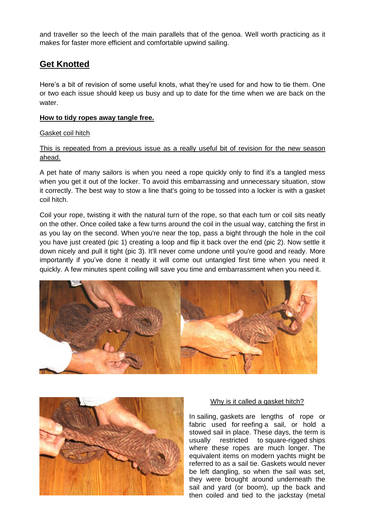and traveller so the leech of the main parallels that of the genoa. Well worth practicing as it makes for faster more efficient and comfortable upwind sailing.

# **Get Knotted**

Here's a bit of revision of some useful knots, what they're used for and how to tie them. One or two each issue should keep us busy and up to date for the time when we are back on the water.

## **How to tidy ropes away tangle free.**

## Gasket coil hitch

# This is repeated from a previous issue as a really useful bit of revision for the new season ahead.

A pet hate of many sailors is when you need a rope quickly only to find it's a tangled mess when you get it out of the locker. To avoid this embarrassing and unnecessary situation, stow it correctly. The best way to stow a line that's going to be tossed into a locker is with a gasket coil hitch.

Coil your rope, twisting it with the natural turn of the rope, so that each turn or coil sits neatly on the other. Once coiled take a few turns around the coil in the usual way, catching the first in as you lay on the second. When you're near the top, pass a bight through the hole in the coil you have just created (pic 1) creating a loop and flip it back over the end (pic 2). Now settle it down nicely and pull it tight (pic 3). It'll never come undone until you're good and ready. More importantly if you've done it neatly it will come out untangled first time when you need it quickly. A few minutes spent coiling will save you time and embarrassment when you need it.





### Why is it called a gasket hitch?

In sailing, gaskets are lengths of rope or fabric used for reefing a sail, or hold a stowed sail in place. These days, the term is usually restricted to square-rigged ships where these ropes are much longer. The equivalent items on modern yachts might be referred to as a sail tie. Gaskets would never be left dangling, so when the sail was set, they were brought around underneath the sail and yard (or boom), up the back and then coiled and tied to the jackstay (metal